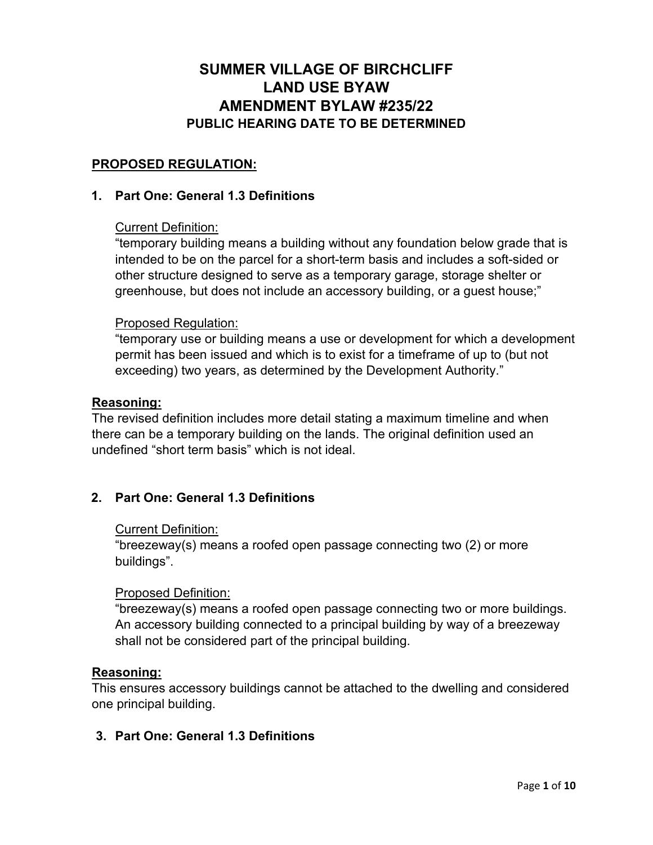# **SUMMER VILLAGE OF BIRCHCLIFF LAND USE BYAW AMENDMENT BYLAW #235/22 PUBLIC HEARING DATE TO BE DETERMINED**

### **PROPOSED REGULATION:**

#### **1. Part One: General 1.3 Definitions**

#### Current Definition:

"temporary building means a building without any foundation below grade that is intended to be on the parcel for a short-term basis and includes a soft-sided or other structure designed to serve as a temporary garage, storage shelter or greenhouse, but does not include an accessory building, or a guest house;"

#### Proposed Regulation:

"temporary use or building means a use or development for which a development permit has been issued and which is to exist for a timeframe of up to (but not exceeding) two years, as determined by the Development Authority."

#### **Reasoning:**

The revised definition includes more detail stating a maximum timeline and when there can be a temporary building on the lands. The original definition used an undefined "short term basis" which is not ideal.

#### **2. Part One: General 1.3 Definitions**

#### Current Definition:

"breezeway(s) means a roofed open passage connecting two (2) or more buildings".

#### Proposed Definition:

"breezeway(s) means a roofed open passage connecting two or more buildings. An accessory building connected to a principal building by way of a breezeway shall not be considered part of the principal building.

#### **Reasoning:**

This ensures accessory buildings cannot be attached to the dwelling and considered one principal building.

#### **3. Part One: General 1.3 Definitions**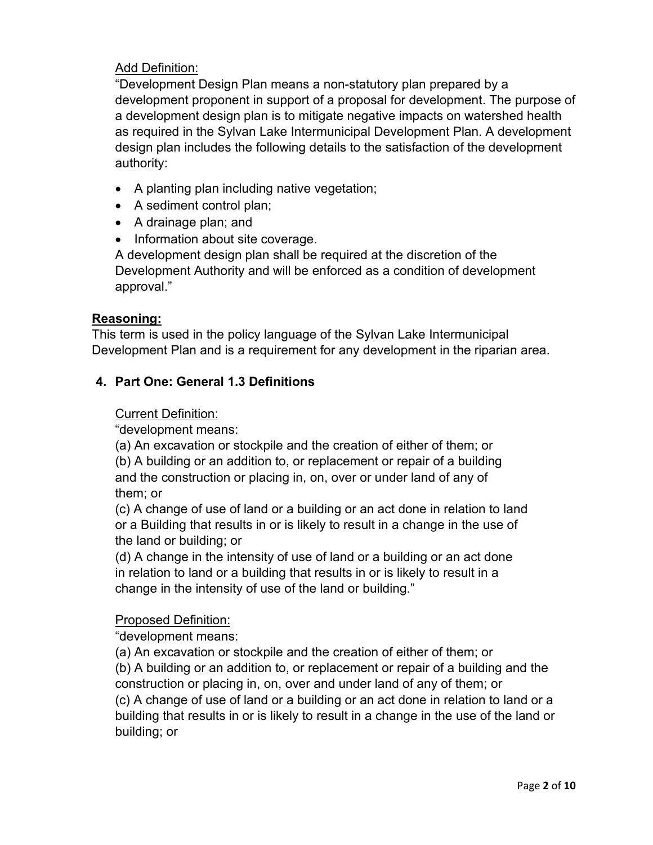### Add Definition:

"Development Design Plan means a non-statutory plan prepared by a development proponent in support of a proposal for development. The purpose of a development design plan is to mitigate negative impacts on watershed health as required in the Sylvan Lake Intermunicipal Development Plan. A development design plan includes the following details to the satisfaction of the development authority:

- A planting plan including native vegetation;
- A sediment control plan;
- A drainage plan; and
- Information about site coverage.

A development design plan shall be required at the discretion of the Development Authority and will be enforced as a condition of development approval."

#### **Reasoning:**

This term is used in the policy language of the Sylvan Lake Intermunicipal Development Plan and is a requirement for any development in the riparian area.

### **4. Part One: General 1.3 Definitions**

#### Current Definition:

"development means:

(a) An excavation or stockpile and the creation of either of them; or (b) A building or an addition to, or replacement or repair of a building and the construction or placing in, on, over or under land of any of them; or

(c) A change of use of land or a building or an act done in relation to land or a Building that results in or is likely to result in a change in the use of the land or building; or

(d) A change in the intensity of use of land or a building or an act done in relation to land or a building that results in or is likely to result in a change in the intensity of use of the land or building."

#### Proposed Definition:

"development means:

(a) An excavation or stockpile and the creation of either of them; or (b) A building or an addition to, or replacement or repair of a building and the construction or placing in, on, over and under land of any of them; or (c) A change of use of land or a building or an act done in relation to land or a building that results in or is likely to result in a change in the use of the land or building; or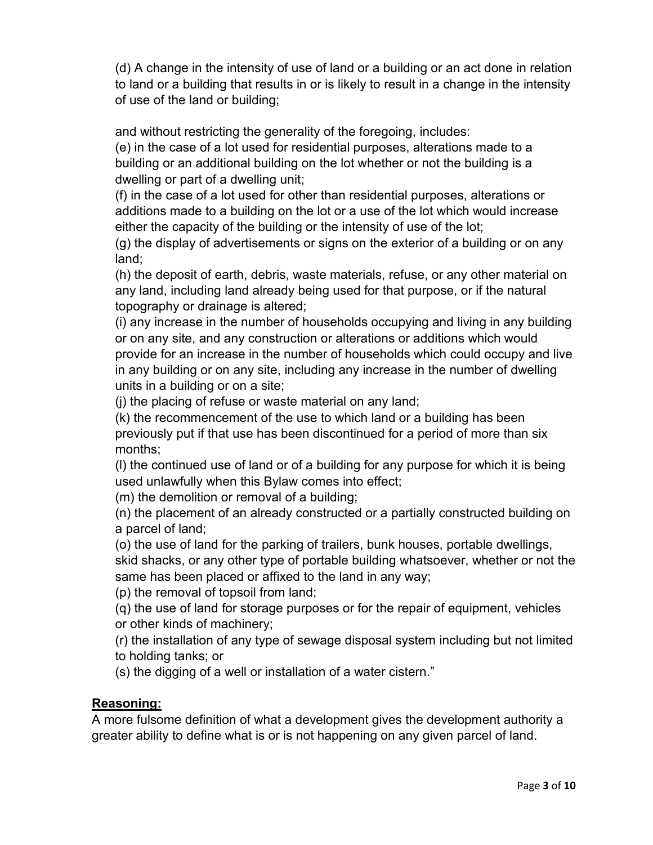(d) A change in the intensity of use of land or a building or an act done in relation to land or a building that results in or is likely to result in a change in the intensity of use of the land or building;

and without restricting the generality of the foregoing, includes:

(e) in the case of a lot used for residential purposes, alterations made to a building or an additional building on the lot whether or not the building is a dwelling or part of a dwelling unit;

(f) in the case of a lot used for other than residential purposes, alterations or additions made to a building on the lot or a use of the lot which would increase either the capacity of the building or the intensity of use of the lot;

(g) the display of advertisements or signs on the exterior of a building or on any land;

(h) the deposit of earth, debris, waste materials, refuse, or any other material on any land, including land already being used for that purpose, or if the natural topography or drainage is altered;

(i) any increase in the number of households occupying and living in any building or on any site, and any construction or alterations or additions which would provide for an increase in the number of households which could occupy and live in any building or on any site, including any increase in the number of dwelling units in a building or on a site;

(j) the placing of refuse or waste material on any land;

(k) the recommencement of the use to which land or a building has been previously put if that use has been discontinued for a period of more than six months;

(l) the continued use of land or of a building for any purpose for which it is being used unlawfully when this Bylaw comes into effect;

(m) the demolition or removal of a building;

(n) the placement of an already constructed or a partially constructed building on a parcel of land;

(o) the use of land for the parking of trailers, bunk houses, portable dwellings, skid shacks, or any other type of portable building whatsoever, whether or not the same has been placed or affixed to the land in any way;

(p) the removal of topsoil from land;

(q) the use of land for storage purposes or for the repair of equipment, vehicles or other kinds of machinery;

(r) the installation of any type of sewage disposal system including but not limited to holding tanks; or

(s) the digging of a well or installation of a water cistern."

## **Reasoning:**

A more fulsome definition of what a development gives the development authority a greater ability to define what is or is not happening on any given parcel of land.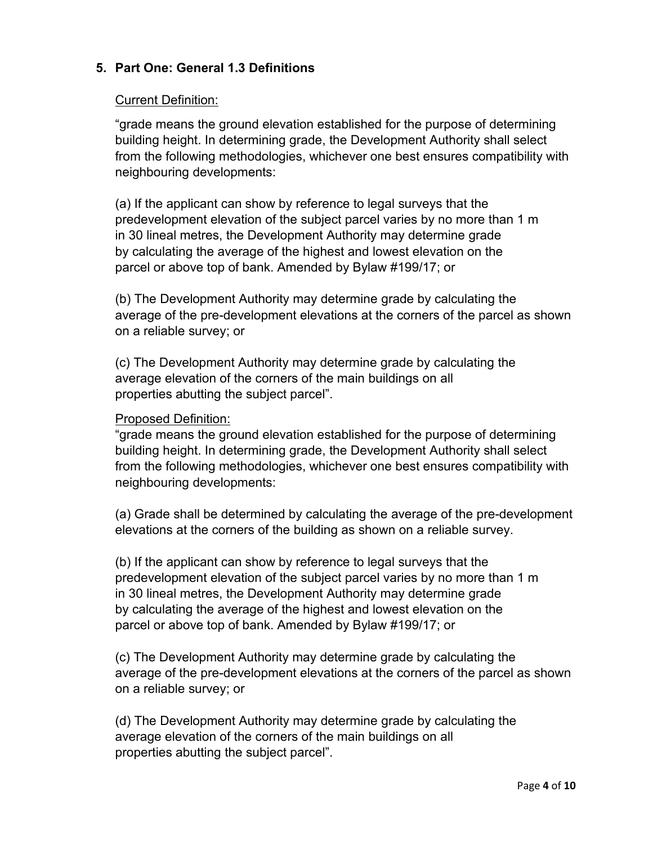## **5. Part One: General 1.3 Definitions**

#### Current Definition:

"grade means the ground elevation established for the purpose of determining building height. In determining grade, the Development Authority shall select from the following methodologies, whichever one best ensures compatibility with neighbouring developments:

(a) If the applicant can show by reference to legal surveys that the predevelopment elevation of the subject parcel varies by no more than 1 m in 30 lineal metres, the Development Authority may determine grade by calculating the average of the highest and lowest elevation on the parcel or above top of bank. Amended by Bylaw #199/17; or

(b) The Development Authority may determine grade by calculating the average of the pre-development elevations at the corners of the parcel as shown on a reliable survey; or

(c) The Development Authority may determine grade by calculating the average elevation of the corners of the main buildings on all properties abutting the subject parcel".

#### Proposed Definition:

"grade means the ground elevation established for the purpose of determining building height. In determining grade, the Development Authority shall select from the following methodologies, whichever one best ensures compatibility with neighbouring developments:

(a) Grade shall be determined by calculating the average of the pre-development elevations at the corners of the building as shown on a reliable survey.

(b) If the applicant can show by reference to legal surveys that the predevelopment elevation of the subject parcel varies by no more than 1 m in 30 lineal metres, the Development Authority may determine grade by calculating the average of the highest and lowest elevation on the parcel or above top of bank. Amended by Bylaw #199/17; or

(c) The Development Authority may determine grade by calculating the average of the pre-development elevations at the corners of the parcel as shown on a reliable survey; or

(d) The Development Authority may determine grade by calculating the average elevation of the corners of the main buildings on all properties abutting the subject parcel".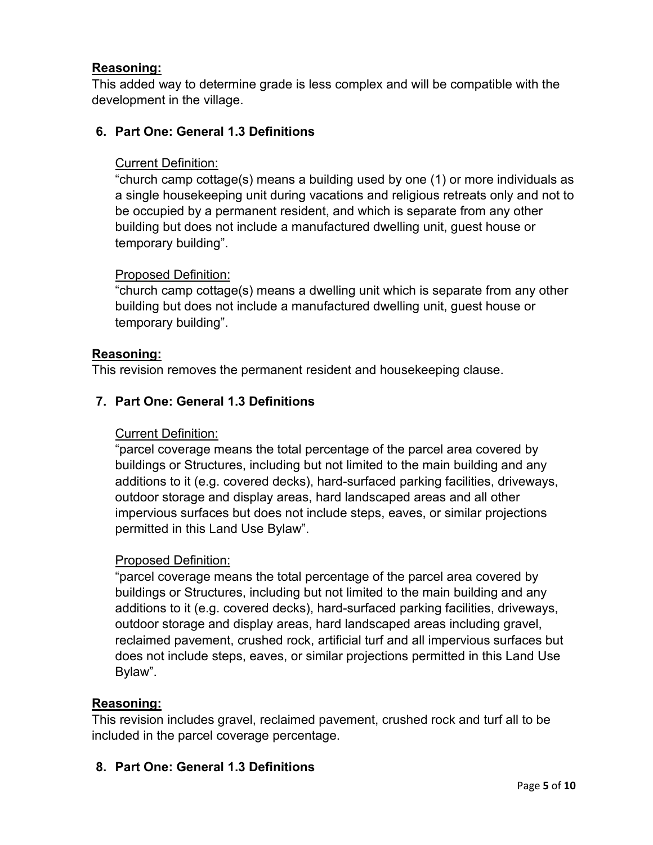### **Reasoning:**

This added way to determine grade is less complex and will be compatible with the development in the village.

### **6. Part One: General 1.3 Definitions**

### Current Definition:

"church camp cottage(s) means a building used by one (1) or more individuals as a single housekeeping unit during vacations and religious retreats only and not to be occupied by a permanent resident, and which is separate from any other building but does not include a manufactured dwelling unit, guest house or temporary building".

#### Proposed Definition:

"church camp cottage(s) means a dwelling unit which is separate from any other building but does not include a manufactured dwelling unit, guest house or temporary building".

#### **Reasoning:**

This revision removes the permanent resident and housekeeping clause.

### **7. Part One: General 1.3 Definitions**

#### Current Definition:

"parcel coverage means the total percentage of the parcel area covered by buildings or Structures, including but not limited to the main building and any additions to it (e.g. covered decks), hard-surfaced parking facilities, driveways, outdoor storage and display areas, hard landscaped areas and all other impervious surfaces but does not include steps, eaves, or similar projections permitted in this Land Use Bylaw".

#### Proposed Definition:

"parcel coverage means the total percentage of the parcel area covered by buildings or Structures, including but not limited to the main building and any additions to it (e.g. covered decks), hard-surfaced parking facilities, driveways, outdoor storage and display areas, hard landscaped areas including gravel, reclaimed pavement, crushed rock, artificial turf and all impervious surfaces but does not include steps, eaves, or similar projections permitted in this Land Use Bylaw".

#### **Reasoning:**

This revision includes gravel, reclaimed pavement, crushed rock and turf all to be included in the parcel coverage percentage.

#### **8. Part One: General 1.3 Definitions**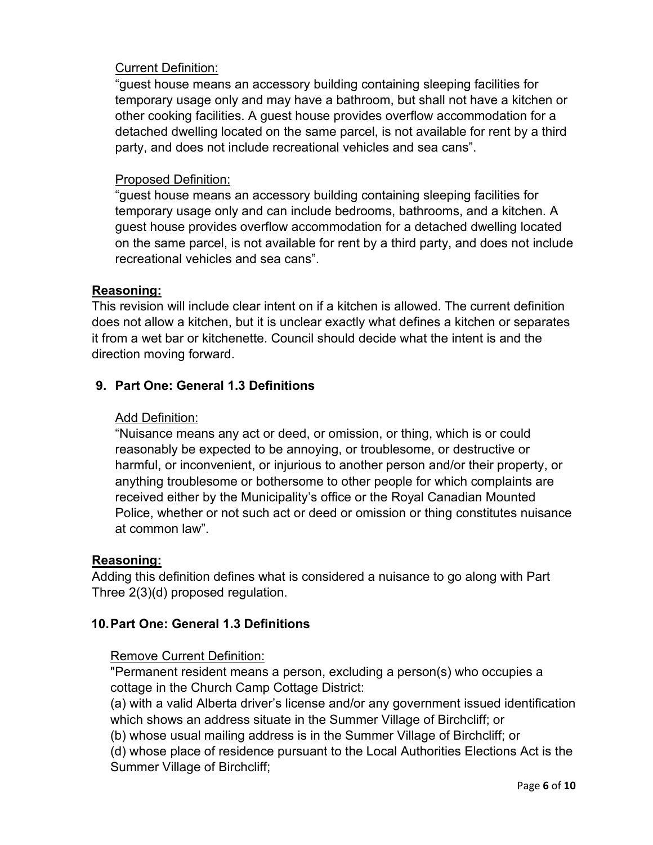### Current Definition:

"guest house means an accessory building containing sleeping facilities for temporary usage only and may have a bathroom, but shall not have a kitchen or other cooking facilities. A guest house provides overflow accommodation for a detached dwelling located on the same parcel, is not available for rent by a third party, and does not include recreational vehicles and sea cans".

### Proposed Definition:

"guest house means an accessory building containing sleeping facilities for temporary usage only and can include bedrooms, bathrooms, and a kitchen. A guest house provides overflow accommodation for a detached dwelling located on the same parcel, is not available for rent by a third party, and does not include recreational vehicles and sea cans".

#### **Reasoning:**

This revision will include clear intent on if a kitchen is allowed. The current definition does not allow a kitchen, but it is unclear exactly what defines a kitchen or separates it from a wet bar or kitchenette. Council should decide what the intent is and the direction moving forward.

### **9. Part One: General 1.3 Definitions**

### Add Definition:

"Nuisance means any act or deed, or omission, or thing, which is or could reasonably be expected to be annoying, or troublesome, or destructive or harmful, or inconvenient, or injurious to another person and/or their property, or anything troublesome or bothersome to other people for which complaints are received either by the Municipality's office or the Royal Canadian Mounted Police, whether or not such act or deed or omission or thing constitutes nuisance at common law".

#### **Reasoning:**

Adding this definition defines what is considered a nuisance to go along with Part Three 2(3)(d) proposed regulation.

## **10.Part One: General 1.3 Definitions**

#### Remove Current Definition:

"Permanent resident means a person, excluding a person(s) who occupies a cottage in the Church Camp Cottage District:

(a) with a valid Alberta driver's license and/or any government issued identification which shows an address situate in the Summer Village of Birchcliff; or

(b) whose usual mailing address is in the Summer Village of Birchcliff; or

(d) whose place of residence pursuant to the Local Authorities Elections Act is the Summer Village of Birchcliff;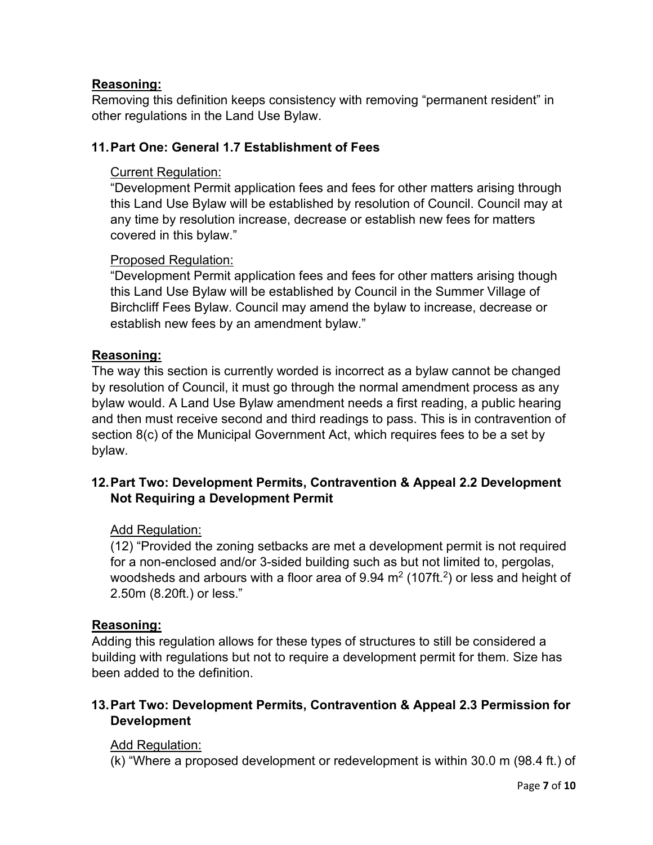## **Reasoning:**

Removing this definition keeps consistency with removing "permanent resident" in other regulations in the Land Use Bylaw.

### **11.Part One: General 1.7 Establishment of Fees**

### Current Regulation:

"Development Permit application fees and fees for other matters arising through this Land Use Bylaw will be established by resolution of Council. Council may at any time by resolution increase, decrease or establish new fees for matters covered in this bylaw."

### Proposed Regulation:

"Development Permit application fees and fees for other matters arising though this Land Use Bylaw will be established by Council in the Summer Village of Birchcliff Fees Bylaw. Council may amend the bylaw to increase, decrease or establish new fees by an amendment bylaw."

### **Reasoning:**

The way this section is currently worded is incorrect as a bylaw cannot be changed by resolution of Council, it must go through the normal amendment process as any bylaw would. A Land Use Bylaw amendment needs a first reading, a public hearing and then must receive second and third readings to pass. This is in contravention of section 8(c) of the Municipal Government Act, which requires fees to be a set by bylaw.

## **12.Part Two: Development Permits, Contravention & Appeal 2.2 Development Not Requiring a Development Permit**

#### Add Regulation:

(12) "Provided the zoning setbacks are met a development permit is not required for a non-enclosed and/or 3-sided building such as but not limited to, pergolas, woodsheds and arbours with a floor area of  $9.94 \text{ m}^2$  (107ft.<sup>2</sup>) or less and height of 2.50m (8.20ft.) or less."

#### **Reasoning:**

Adding this regulation allows for these types of structures to still be considered a building with regulations but not to require a development permit for them. Size has been added to the definition.

## **13.Part Two: Development Permits, Contravention & Appeal 2.3 Permission for Development**

#### Add Regulation:

(k) "Where a proposed development or redevelopment is within 30.0 m (98.4 ft.) of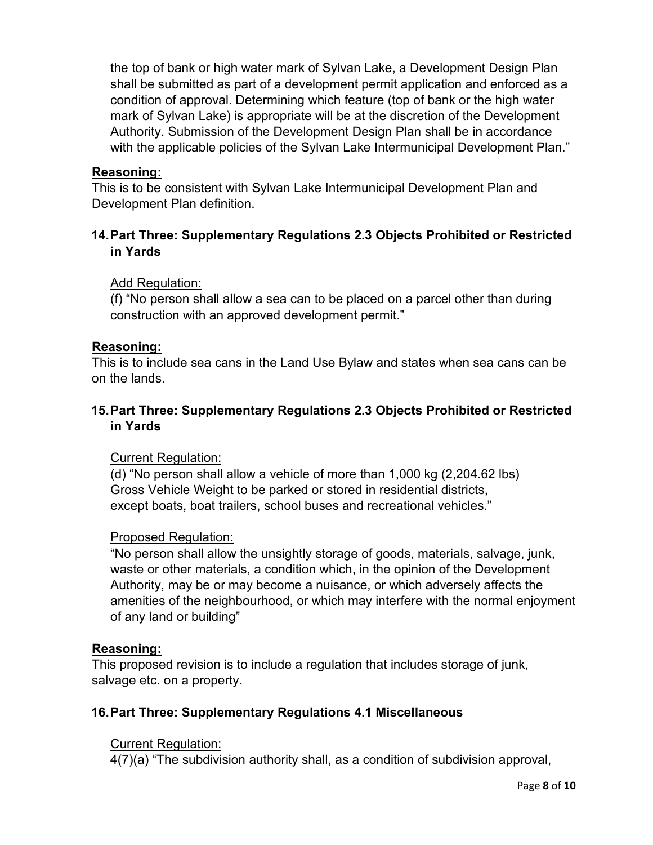the top of bank or high water mark of Sylvan Lake, a Development Design Plan shall be submitted as part of a development permit application and enforced as a condition of approval. Determining which feature (top of bank or the high water mark of Sylvan Lake) is appropriate will be at the discretion of the Development Authority. Submission of the Development Design Plan shall be in accordance with the applicable policies of the Sylvan Lake Intermunicipal Development Plan."

#### **Reasoning:**

This is to be consistent with Sylvan Lake Intermunicipal Development Plan and Development Plan definition.

## **14.Part Three: Supplementary Regulations 2.3 Objects Prohibited or Restricted in Yards**

### Add Regulation:

(f) "No person shall allow a sea can to be placed on a parcel other than during construction with an approved development permit."

#### **Reasoning:**

This is to include sea cans in the Land Use Bylaw and states when sea cans can be on the lands.

## **15.Part Three: Supplementary Regulations 2.3 Objects Prohibited or Restricted in Yards**

#### Current Regulation:

(d) "No person shall allow a vehicle of more than 1,000 kg (2,204.62 lbs) Gross Vehicle Weight to be parked or stored in residential districts, except boats, boat trailers, school buses and recreational vehicles."

#### Proposed Regulation:

"No person shall allow the unsightly storage of goods, materials, salvage, junk, waste or other materials, a condition which, in the opinion of the Development Authority, may be or may become a nuisance, or which adversely affects the amenities of the neighbourhood, or which may interfere with the normal enjoyment of any land or building"

#### **Reasoning:**

This proposed revision is to include a regulation that includes storage of junk, salvage etc. on a property.

## **16.Part Three: Supplementary Regulations 4.1 Miscellaneous**

## Current Regulation:

4(7)(a) "The subdivision authority shall, as a condition of subdivision approval,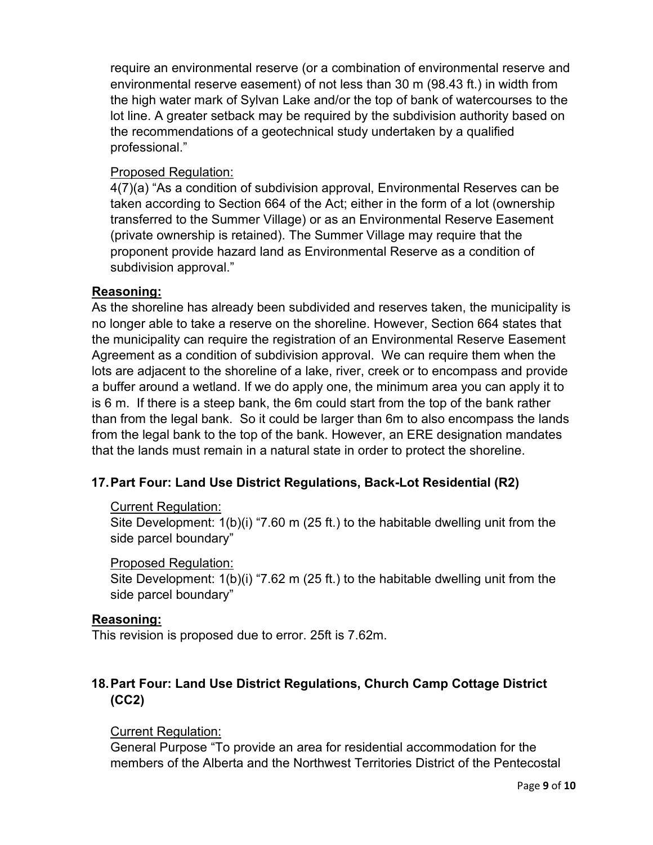require an environmental reserve (or a combination of environmental reserve and environmental reserve easement) of not less than 30 m (98.43 ft.) in width from the high water mark of Sylvan Lake and/or the top of bank of watercourses to the lot line. A greater setback may be required by the subdivision authority based on the recommendations of a geotechnical study undertaken by a qualified professional."

### Proposed Regulation:

4(7)(a) "As a condition of subdivision approval, Environmental Reserves can be taken according to Section 664 of the Act; either in the form of a lot (ownership transferred to the Summer Village) or as an Environmental Reserve Easement (private ownership is retained). The Summer Village may require that the proponent provide hazard land as Environmental Reserve as a condition of subdivision approval."

### **Reasoning:**

As the shoreline has already been subdivided and reserves taken, the municipality is no longer able to take a reserve on the shoreline. However, Section 664 states that the municipality can require the registration of an Environmental Reserve Easement Agreement as a condition of subdivision approval. We can require them when the lots are adjacent to the shoreline of a lake, river, creek or to encompass and provide a buffer around a wetland. If we do apply one, the minimum area you can apply it to is 6 m. If there is a steep bank, the 6m could start from the top of the bank rather than from the legal bank. So it could be larger than 6m to also encompass the lands from the legal bank to the top of the bank. However, an ERE designation mandates that the lands must remain in a natural state in order to protect the shoreline.

## **17.Part Four: Land Use District Regulations, Back-Lot Residential (R2)**

#### Current Regulation:

Site Development: 1(b)(i) "7.60 m (25 ft.) to the habitable dwelling unit from the side parcel boundary"

#### Proposed Regulation:

Site Development: 1(b)(i) "7.62 m (25 ft.) to the habitable dwelling unit from the side parcel boundary"

#### **Reasoning:**

This revision is proposed due to error. 25ft is 7.62m.

# **18.Part Four: Land Use District Regulations, Church Camp Cottage District (CC2)**

## Current Regulation:

General Purpose "To provide an area for residential accommodation for the members of the Alberta and the Northwest Territories District of the Pentecostal